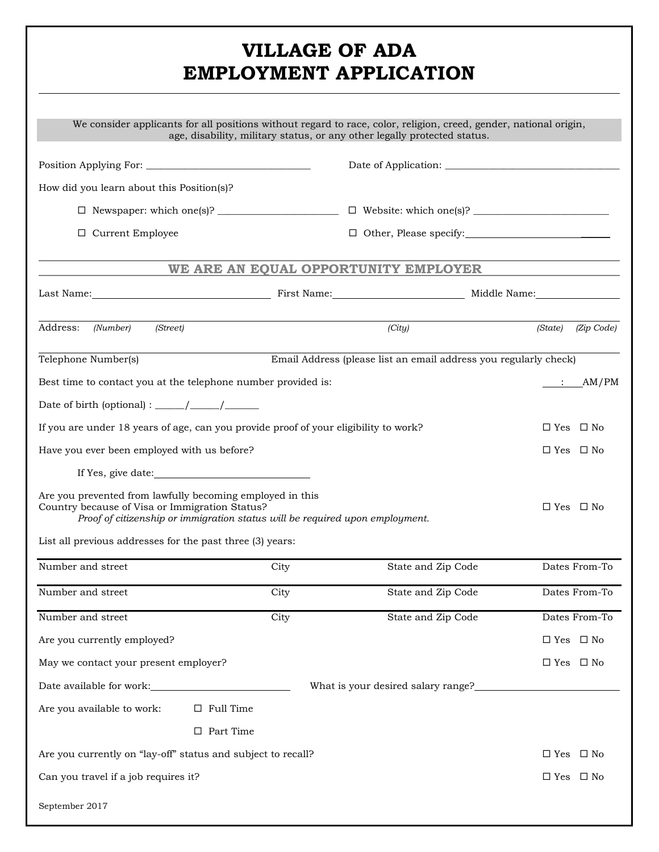## **VILLAGE OF ADA EMPLOYMENT APPLICATION**

|                                                                                                                                                                                             |      | We consider applicants for all positions without regard to race, color, religion, creed, gender, national origin,<br>age, disability, military status, or any other legally protected status. |                       |
|---------------------------------------------------------------------------------------------------------------------------------------------------------------------------------------------|------|-----------------------------------------------------------------------------------------------------------------------------------------------------------------------------------------------|-----------------------|
|                                                                                                                                                                                             |      |                                                                                                                                                                                               |                       |
| How did you learn about this Position(s)?                                                                                                                                                   |      |                                                                                                                                                                                               |                       |
|                                                                                                                                                                                             |      |                                                                                                                                                                                               |                       |
| $\Box$ Current Employee                                                                                                                                                                     |      | □ Other, Please specify: <u>● Other</u> , Please specify:                                                                                                                                     |                       |
|                                                                                                                                                                                             |      | WE ARE AN EQUAL OPPORTUNITY EMPLOYER                                                                                                                                                          |                       |
|                                                                                                                                                                                             |      |                                                                                                                                                                                               |                       |
| Address:<br>(Number)<br>(Street)                                                                                                                                                            |      | (City)                                                                                                                                                                                        | (State)<br>(Zip Code) |
| Telephone Number(s)                                                                                                                                                                         |      | Email Address (please list an email address you regularly check)                                                                                                                              |                       |
| Best time to contact you at the telephone number provided is:                                                                                                                               |      |                                                                                                                                                                                               | $\therefore$ AM/PM    |
|                                                                                                                                                                                             |      |                                                                                                                                                                                               |                       |
| If you are under 18 years of age, can you provide proof of your eligibility to work?                                                                                                        |      |                                                                                                                                                                                               | $\Box$ Yes $\Box$ No  |
| Have you ever been employed with us before?                                                                                                                                                 |      |                                                                                                                                                                                               | $\Box$ Yes $\Box$ No  |
|                                                                                                                                                                                             |      |                                                                                                                                                                                               |                       |
| Are you prevented from lawfully becoming employed in this<br>Country because of Visa or Immigration Status?<br>Proof of citizenship or immigration status will be required upon employment. |      |                                                                                                                                                                                               | $\Box$ Yes $\Box$ No  |
| List all previous addresses for the past three (3) years:                                                                                                                                   |      |                                                                                                                                                                                               |                       |
| Number and street                                                                                                                                                                           | City | State and Zip Code                                                                                                                                                                            | Dates From-To         |
| Number and street                                                                                                                                                                           | City | State and Zip Code                                                                                                                                                                            | Dates From-To         |
| Number and street                                                                                                                                                                           | City | State and Zip Code                                                                                                                                                                            | Dates From-To         |
| Are you currently employed?                                                                                                                                                                 |      |                                                                                                                                                                                               | $\Box$ Yes $\Box$ No  |
| May we contact your present employer?                                                                                                                                                       |      |                                                                                                                                                                                               | $\Box$ Yes $\Box$ No  |
|                                                                                                                                                                                             |      |                                                                                                                                                                                               |                       |
| Are you available to work:<br>$\Box$ Full Time                                                                                                                                              |      |                                                                                                                                                                                               |                       |
| $\Box$ Part Time                                                                                                                                                                            |      |                                                                                                                                                                                               |                       |
| Are you currently on "lay-off" status and subject to recall?                                                                                                                                |      |                                                                                                                                                                                               | $\Box$ Yes $\Box$ No  |
| Can you travel if a job requires it?                                                                                                                                                        |      |                                                                                                                                                                                               | $\Box$ Yes $\Box$ No  |
| September 2017                                                                                                                                                                              |      |                                                                                                                                                                                               |                       |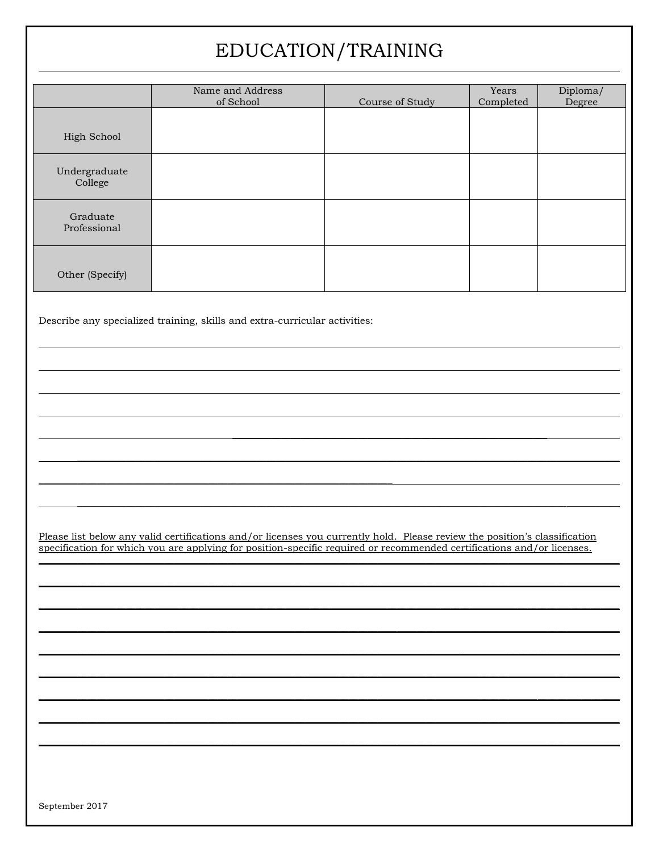# EDUCATION/TRAINING

|                          | Name and Address<br>of School | Course of Study | Years<br>Completed | Diploma/<br>Degree |
|--------------------------|-------------------------------|-----------------|--------------------|--------------------|
| High School              |                               |                 |                    |                    |
| Undergraduate<br>College |                               |                 |                    |                    |
| Graduate<br>Professional |                               |                 |                    |                    |
| Other (Specify)          |                               |                 |                    |                    |

Describe any specialized training, skills and extra-curricular activities:

Please list below any valid certifications and/or licenses you currently hold. Please review the position's classification specification for which you are applying for position-specific required or recommended certificatio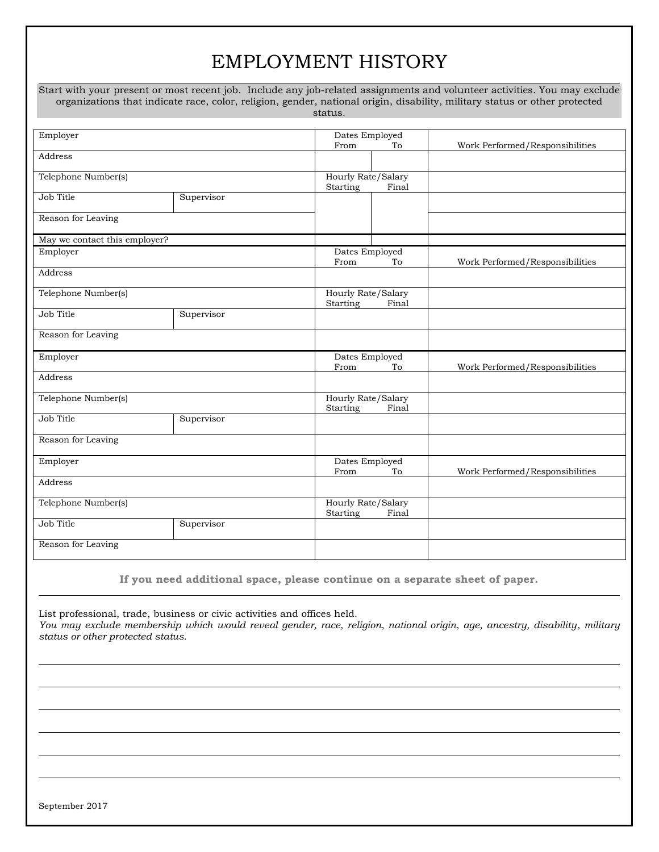## EMPLOYMENT HISTORY

|                               |            |                                         | Start with your present or most recent job. Include any job-related assignments and volunteer activities. You may exclude<br>organizations that indicate race, color, religion, gender, national origin, disability, military status or other protected |
|-------------------------------|------------|-----------------------------------------|---------------------------------------------------------------------------------------------------------------------------------------------------------------------------------------------------------------------------------------------------------|
|                               |            | status.                                 |                                                                                                                                                                                                                                                         |
| Employer                      |            | Dates Employed<br>To<br>From            | Work Performed/Responsibilities                                                                                                                                                                                                                         |
| Address                       |            |                                         |                                                                                                                                                                                                                                                         |
| Telephone Number(s)           |            | Hourly Rate/Salary<br>Starting<br>Final |                                                                                                                                                                                                                                                         |
| Job Title                     | Supervisor |                                         |                                                                                                                                                                                                                                                         |
| Reason for Leaving            |            |                                         |                                                                                                                                                                                                                                                         |
| May we contact this employer? |            | Dates Employed                          |                                                                                                                                                                                                                                                         |
| Employer                      |            |                                         | Work Performed/Responsibilities                                                                                                                                                                                                                         |
| Address                       |            |                                         |                                                                                                                                                                                                                                                         |
| Telephone Number(s)           |            | Hourly Rate/Salary<br>Starting<br>Final |                                                                                                                                                                                                                                                         |
| Job Title                     | Supervisor |                                         |                                                                                                                                                                                                                                                         |
| Reason for Leaving            |            |                                         |                                                                                                                                                                                                                                                         |
| Employer                      |            | Dates Employed<br>To<br>From            | Work Performed/Responsibilities                                                                                                                                                                                                                         |
| Address                       |            |                                         |                                                                                                                                                                                                                                                         |
| Telephone Number(s)           |            | Hourly Rate/Salary<br>Starting<br>Final |                                                                                                                                                                                                                                                         |
| Job Title                     | Supervisor |                                         |                                                                                                                                                                                                                                                         |
| Reason for Leaving            |            |                                         |                                                                                                                                                                                                                                                         |
| Employer                      |            | Dates Employed<br>To<br>From            | Work Performed/Responsibilities                                                                                                                                                                                                                         |
| Address                       |            |                                         |                                                                                                                                                                                                                                                         |
| Telephone Number(s)           |            | Hourly Rate/Salary<br>Starting<br>Final |                                                                                                                                                                                                                                                         |
| Job Title                     | Supervisor |                                         |                                                                                                                                                                                                                                                         |
| Reason for Leaving            |            |                                         |                                                                                                                                                                                                                                                         |

**If you need additional space, please continue on a separate sheet of paper.**

List professional, trade, business or civic activities and offices held. *You may exclude membership which would reveal gender, race, religion, national origin, age, ancestry, disability, military status or other protected status.*

September 2017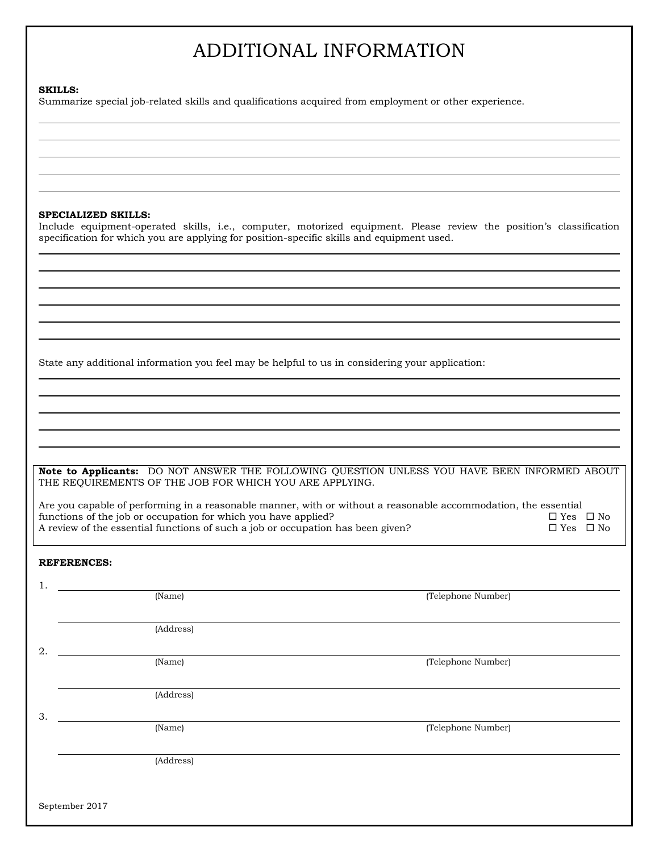# ADDITIONAL INFORMATION

#### **SKILLS:**

Summarize special job-related skills and qualifications acquired from employment or other experience.

### **SPECIALIZED SKILLS:**

Include equipment-operated skills, i.e., computer, motorized equipment. Please review the position's classification specification for which you are applying for position-specific skills and equipment used.

State any additional information you feel may be helpful to us in considering your application:

**Note to Applicants:** DO NOT ANSWER THE FOLLOWING QUESTION UNLESS YOU HAVE BEEN INFORMED ABOUT THE REQUIREMENTS OF THE JOB FOR WHICH YOU ARE APPLYING.

Are you capable of performing in a reasonable manner, with or without a reasonable accommodation, the essential functions of the job or occupation for which you have applied?  $\Box$  Yes  $\Box$  No A review of the essential functions of such a job or occupation has been given?  $\square$  Yes  $\square$  No

### **REFERENCES:**

| 1.             |           |                    |
|----------------|-----------|--------------------|
|                | (Name)    | (Telephone Number) |
|                |           |                    |
|                | (Address) |                    |
| 2.             |           |                    |
|                | (Name)    | (Telephone Number) |
|                |           |                    |
|                | (Address) |                    |
| 3.             |           |                    |
|                | (Name)    | (Telephone Number) |
|                |           |                    |
|                | (Address) |                    |
|                |           |                    |
|                |           |                    |
| September 2017 |           |                    |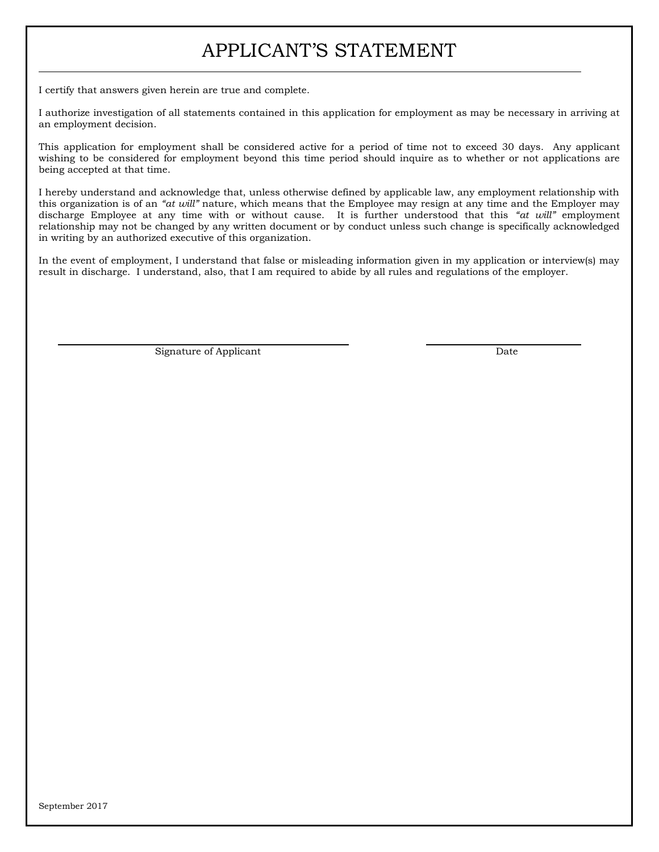## APPLICANT'S STATEMENT

I certify that answers given herein are true and complete.

I authorize investigation of all statements contained in this application for employment as may be necessary in arriving at an employment decision.

This application for employment shall be considered active for a period of time not to exceed 30 days. Any applicant wishing to be considered for employment beyond this time period should inquire as to whether or not applications are being accepted at that time.

I hereby understand and acknowledge that, unless otherwise defined by applicable law, any employment relationship with this organization is of an *"at will"* nature, which means that the Employee may resign at any time and the Employer may discharge Employee at any time with or without cause. It is further understood that this *"at will"* employment relationship may not be changed by any written document or by conduct unless such change is specifically acknowledged in writing by an authorized executive of this organization.

In the event of employment, I understand that false or misleading information given in my application or interview(s) may result in discharge. I understand, also, that I am required to abide by all rules and regulations of the employer.

Signature of Applicant  $\qquad \qquad$  Date